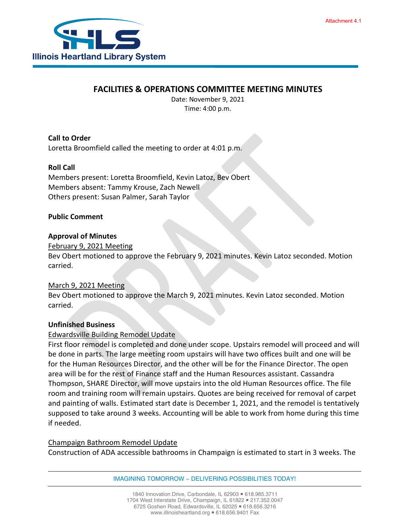# **FACILITIES & OPERATIONS COMMITTEE MEETING MINUTES**

Date: November 9, 2021 Time: 4:00 p.m.

**Call to Order** Loretta Broomfield called the meeting to order at 4:01 p.m.

## **Roll Call**

Members present: Loretta Broomfield, Kevin Latoz, Bev Obert Members absent: Tammy Krouse, Zach Newell Others present: Susan Palmer, Sarah Taylor

## **Public Comment**

## **Approval of Minutes**

### February 9, 2021 Meeting

Bev Obert motioned to approve the February 9, 2021 minutes. Kevin Latoz seconded. Motion carried.

### March 9, 2021 Meeting

Bev Obert motioned to approve the March 9, 2021 minutes. Kevin Latoz seconded. Motion carried.

### **Unfinished Business**

## Edwardsville Building Remodel Update

First floor remodel is completed and done under scope. Upstairs remodel will proceed and will be done in parts. The large meeting room upstairs will have two offices built and one will be for the Human Resources Director, and the other will be for the Finance Director. The open area will be for the rest of Finance staff and the Human Resources assistant. Cassandra Thompson, SHARE Director, will move upstairs into the old Human Resources office. The file room and training room will remain upstairs. Quotes are being received for removal of carpet and painting of walls. Estimated start date is December 1, 2021, and the remodel is tentatively supposed to take around 3 weeks. Accounting will be able to work from home during this time if needed.

### Champaign Bathroom Remodel Update

Construction of ADA accessible bathrooms in Champaign is estimated to start in 3 weeks. The

IMAGINING TOMORROW ~ DELIVERING POSSIBILITIES TODAY!